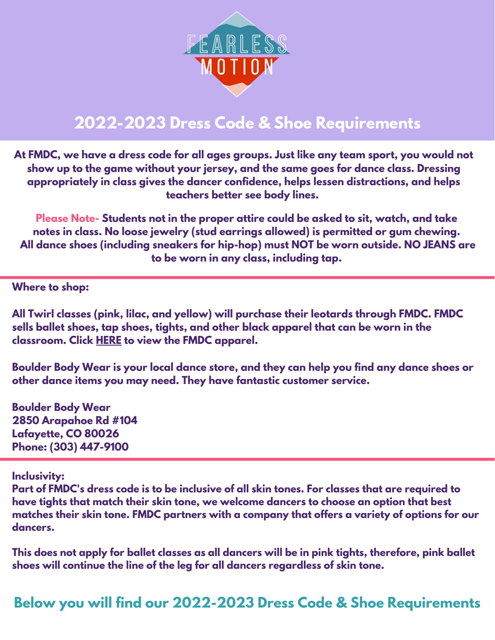

# **2022-2023 Dress Code & Shoe Requirements**

**At FMDC, we have a dress code for all ages groups. Just like any team sport, you would not show up to the game without your jersey, and the same goes for dance class. Dressing appropriately in class gives the dancer confidence, helps lessen distractions, and helps teachers better see body lines.**

**Please Note- Students not in the proper attire could be asked to sit, watch, and take notes in class. No loose jewelry (stud earrings allowed) is permitted or gum chewing. All dance shoes (including sneakers for hip-hop) must NOT be worn outside. NO JEANS are to be worn in any class, including tap.**

**Where to shop:**

**All Twirl classes (pink, lilac, and yellow) will purchase their leotards through FMDC. FMDC sells ballet shoes, tap shoes, tights, and other black apparel that can be worn in the classroom. Click [HERE](https://www.fearlessmotiondance.com/fmdc-apparel/) to view the FMDC apparel.**

**Boulder Body Wear is your local dance store, and they can help you find any dance shoes or other dance items you may need. They have fantastic customer service.**

**Boulder Body Wear 2850 Arapahoe Rd #104 Lafayette, CO 80026 Phone: (303) [447-9100](https://www.google.com/search?gs_ssp=eJzj4tVP1zc0TDYsMygqN8wyYLRSNaiwMDdLSjO2SLU0NjMwtEw2tDKoMExNMk5MSjIxTjG1SDE1t_QSTMovzUlJLVJIyk-pVChPTSwCAO4zFZo&q=boulder+body+wear&rlz=1C5CHFA_enUS765US771&oq=boulder+body&aqs=chrome.1.35i39i355j46i39i175i199j69i57j46i175i199i512j0i512j46i175i199i512l2j0i512j0i457i512j46i175i199i512.5051j0j7&sourceid=chrome&ie=UTF-8#)**

**Inclusivity:**

Part of FMDC's dress code is to be inclusive of all skin tones. For classes that are required to **have tights that match their skin tone, we welcome dancers to choose an option that best matches their skin tone. FMDC partners with a company that offers a variety of options for our dancers.**

This does not apply for ballet classes as all dancers will be in pink tights, therefore, pink ballet **shoes will continue the line of the leg for all dancers regardless of skin tone.**

**Below you will find our 2022-2023 Dress Code & Shoe Requirements**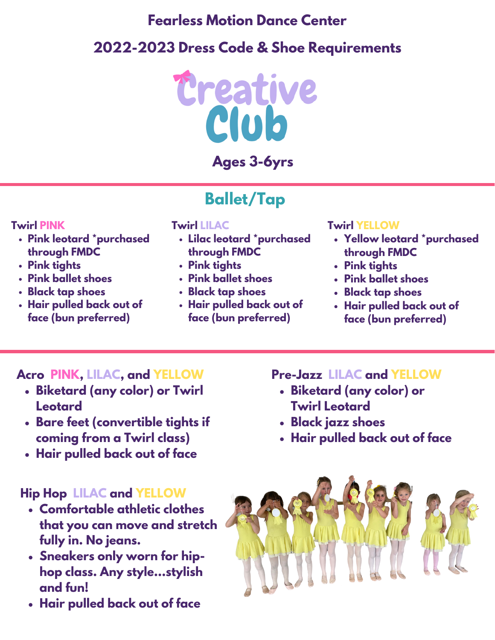## **Fearless Motion Dance Center**

# **2022-2023 Dress Code & Shoe Requirements**



## **Ages 3-6yrs**

# **Ballet/Tap**

#### **Twirl PINK**

- **Pink leotard \*purchased through FMDC**
- **Pink tights**
- **Pink ballet shoes**
- **Black tap shoes**
- **Hair pulled back out of face (bun preferred)**

#### **Twirl LILAC**

- **Lilac leotard \*purchased through FMDC**
- **Pink tights**
- **Pink ballet shoes**
- **Black tap shoes**
- **Hair pulled back out of face (bun preferred)**

#### **Twirl YELLOW**

- **Yellow leotard \*purchased through FMDC**
- **Pink tights**
- **Pink ballet shoes**
- **Black tap shoes**
- **Hair pulled back out of face (bun preferred)**

### **Acro PINK, LILAC, and YELLOW**

- **Biketard (any color) or Twirl Leotard**
- **Bare feet (convertible tights if coming from a Twirl class)**
- **Hair pulled back out of face**

### **Hip Hop LILAC and YELLOW**

- **Comfortable athletic clothes that you can move and stretch fully in. No jeans.**
- **Sneakers only worn for hiphop class. Any style...stylish and fun!**
- **Hair pulled back out of face**

#### **Pre-Jazz LILAC and YELLOW**

- **Biketard (any color) or Twirl Leotard**
- **Black jazz shoes**
- **Hair pulled back out of face**

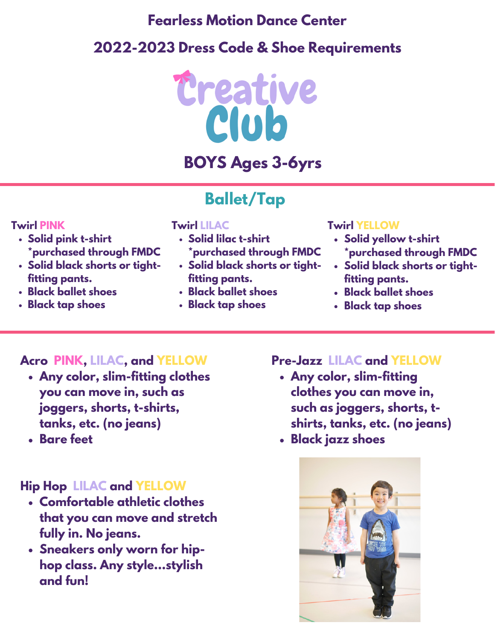## **Fearless Motion Dance Center**

# **2022-2023 Dress Code & Shoe Requirements**



# **BOYS Ages 3-6yrs**

# **Ballet/Tap**

#### **Twirl PINK**

- **Solid pink t-shirt \*purchased through FMDC**
- **Solid black shorts or tightfitting pants.**
- **Black ballet shoes**
- **Black tap shoes**

#### **Twirl LILAC**

- **Solid lilac t-shirt \*purchased through FMDC**
- **Solid black shorts or tightfitting pants.**
- **Black ballet shoes**
- **Black tap shoes**

#### **Twirl YELLOW**

- **Solid yellow t-shirt \*purchased through FMDC**
- **Solid black shorts or tightfitting pants.**
- **Black ballet shoes**
- **Black tap shoes**

### **Acro PINK, LILAC, and YELLOW**

- **Any color, slim-fitting clothes you can move in, such as joggers, shorts, t-shirts, tanks, etc. (no jeans)**
- **Bare feet**

### **Hip Hop LILAC and YELLOW**

- **Comfortable athletic clothes that you can move and stretch fully in. No jeans.**
- **Sneakers only worn for hiphop class. Any style...stylish and fun!**

#### **Pre-Jazz LILAC and YELLOW**

- **Any color, slim-fitting clothes you can move in, such as joggers, shorts, tshirts, tanks, etc. (no jeans)**
- **Black jazz shoes**

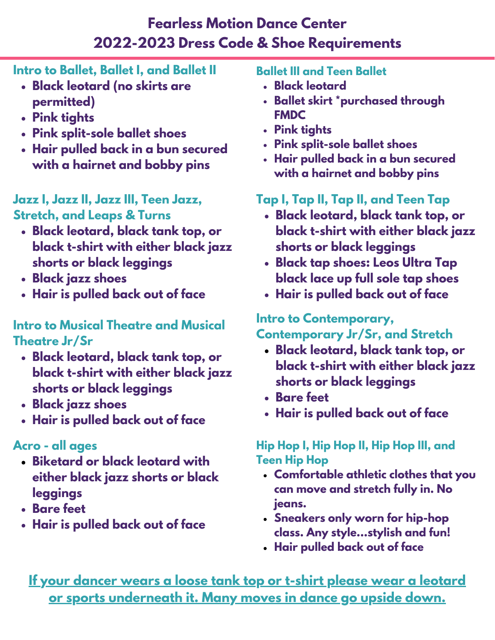## **Fearless Motion Dance Center 2022-2023 Dress Code & Shoe Requirements**

## **Intro to Ballet, Ballet I, and Ballet II**

- **Black leotard (no skirts are permitted)**
- **Pink tights**
- **Pink split-sole ballet shoes**
- **Hair pulled back in a bun secured with a hairnet and bobby pins**

# **Jazz I, Jazz II, Jazz III, Teen Jazz,**

- **Black leotard, black tank top, or black t-shirt with either black jazz shorts or black leggings**
- **Black jazz shoes**
- **Hair is pulled back out of face**

## **Intro to Musical Theatre and Musical Theatre Jr/Sr**

- **Black leotard, black tank top, or black t-shirt with either black jazz shorts or black leggings**
- **Black jazz shoes**
- **Hair is pulled back out of face**

## **Acro - all ages**

- **Biketard or black leotard with either black jazz shorts or black leggings**
- **Bare feet**
- **Hair is pulled back out of face**

#### **Ballet III and Teen Ballet**

- **Black leotard**
- **Ballet skirt \*purchased through FMDC**
- **Pink tights**
- **Pink split-sole ballet shoes**
- **Hair pulled back in a bun secured with a hairnet and bobby pins**

## **Tap I, Tap II, Tap II, and Teen Tap**

- **Stretch, and Leaps & Turns Black leotard, black tank top, or black t-shirt with either black jazz shorts or black leggings**
	- **Black tap shoes: Leos Ultra Tap black lace up full sole tap shoes**
	- **Hair is pulled back out of face**

#### **Intro to Contemporary, Contemporary Jr/Sr, and Stretch**

- **Black leotard, black tank top, or black t-shirt with either black jazz shorts or black leggings**
- **Bare feet**
- **Hair is pulled back out of face**

#### **Hip Hop I, Hip Hop II, Hip Hop III, and Teen Hip Hop**

- **Comfortable athletic clothes that you can move and stretch fully in. No jeans.**
- **Sneakers only worn for hip-hop class. Any style...stylish and fun!**
- **Hair pulled back out of face**

**If your dancer wears a loose tank top or t-shirt please wear a leotard or sports underneath it. Many moves in dance go upside down.**